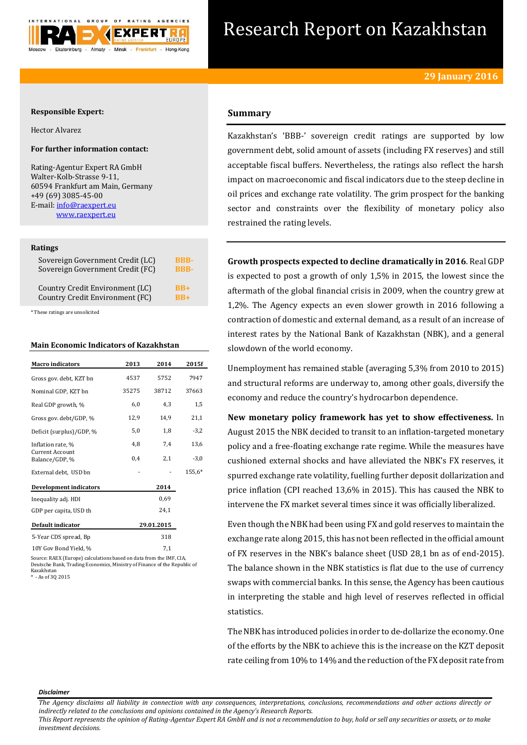

# Research Report on Kazakhstan

## **Responsible Expert:**

Hector Alvarez

## **For further information contact:**

Rating-Agentur Expert RA GmbH Walter-Kolb-Strasse 9-11, 60594 Frankfurt am Main, Germany +49 (69) 3085-45-00 E-mail[: info@raexpert.eu](mailto:info@raexpert.eu) [www.raexpert.eu](http://raexpert.eu/)

#### **Ratings**

| Sovereign Government Credit (LC) | <b>BBB-</b> |
|----------------------------------|-------------|
| Sovereign Government Credit (FC) | <b>BBB-</b> |
| Country Credit Environment (LC)  | $RB+$       |
| Country Credit Environment (FC)  | $RB+$       |

\* These ratings are unsolicited

## **Main Economic Indicators of Kazakhstan**

| <b>Macro</b> indicators                                           | 2013  | 2014       | 2015f  |
|-------------------------------------------------------------------|-------|------------|--------|
| Gross gov. debt, KZT bn                                           | 4537  | 5752       | 7947   |
| Nominal GDP, KZT bn                                               | 35275 | 38712      | 37663  |
| Real GDP growth, %                                                | 6,0   | 4,3        | 1,5    |
| Gross gov. debt/GDP, %                                            | 12,9  | 14.9       | 21,1   |
| Deficit (surplus)/GDP, %                                          | 5,0   | 1,8        | $-3,2$ |
| Inflation rate, %                                                 | 4,8   | 7,4        | 13,6   |
| <b>Current Account</b><br>Balance/GDP, %                          | 0,4   | 2,1        | $-3,0$ |
| External debt, USD bn                                             |       |            | 155.6* |
| Development indicators                                            |       | 2014       |        |
| Inequality adj. HDI                                               |       | 0.69       |        |
| GDP per capita, USD th                                            |       | 24,1       |        |
| Default indicator                                                 |       | 29.01.2015 |        |
| 5-Year CDS spread, Bp                                             |       | 318        |        |
| 10Y Gov Bond Yield, %                                             |       | 7,1        |        |
| Source: RAEY (Europe) calculations based on data from the IME CIA |       |            |        |

Source: RAEX (Europe) calculations based on data from the IMF, CIA, Deutsche Bank, Trading Economics, Ministry of Finance of the Republic of Kazakhstan \* - As of 3Q 2015

## **Summary**

Kazakhstan's 'BBB-' sovereign credit ratings are supported by low government debt, solid amount of assets (including FX reserves) and still acceptable fiscal buffers. Nevertheless, the ratings also reflect the harsh impact on macroeconomic and fiscal indicators due to the steep decline in oil prices and exchange rate volatility. The grim prospect for the banking sector and constraints over the flexibility of monetary policy also restrained the rating levels.

**Growth prospects expected to decline dramatically in 2016**. Real GDP is expected to post a growth of only 1,5% in 2015, the lowest since the aftermath of the global financial crisis in 2009, when the country grew at 1,2%. The Agency expects an even slower growth in 2016 following a contraction of domestic and external demand, as a result of an increase of interest rates by the National Bank of Kazakhstan (NBK), and a general slowdown of the world economy.

Unemployment has remained stable (averaging 5,3% from 2010 to 2015) and structural reforms are underway to, among other goals, diversify the economy and reduce the country's hydrocarbon dependence.

**New monetary policy framework has yet to show effectiveness.** In August 2015 the NBK decided to transit to an inflation-targeted monetary policy and a free-floating exchange rate regime. While the measures have cushioned external shocks and have alleviated the NBK's FX reserves, it spurred exchange rate volatility, fuelling further deposit dollarization and price inflation (CPI reached 13,6% in 2015). This has caused the NBK to intervene the FX market several times since it was officially liberalized.

Even though the NBK had been using FX and gold reserves to maintain the exchange rate along 2015, this has not been reflected in the official amount of FX reserves in the NBK's balance sheet (USD 28,1 bn as of end-2015). The balance shown in the NBK statistics is flat due to the use of currency swaps with commercial banks. In this sense, the Agency has been cautious in interpreting the stable and high level of reserves reflected in official statistics.

The NBK has introduced policies in order to de-dollarize the economy. One of the efforts by the NBK to achieve this is the increase on the KZT deposit rate ceiling from 10% to 14% and the reduction of the FX deposit rate from

#### *Disclaimer*

*This Report represents the opinion of Rating-Agentur Expert RA GmbH and is not a recommendation to buy, hold or sell any securities or assets, or to make investment decisions.*

*The Agency disclaims all liability in connection with any consequences, interpretations, conclusions, recommendations and other actions directly or indirectly related to the conclusions and opinions contained in the Agency's Research Reports.*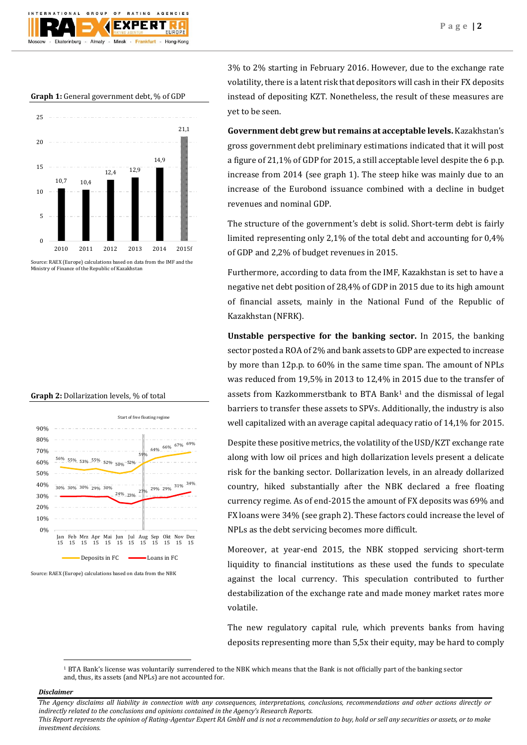**Graph 1:** General government debt, % of GDP



Source: RAEX (Europe) calculations based on data from the IMF and the Ministry of Finance of the Republic of Kazakhstan





Source: RAEX (Europe) calculations based on data from the NBK

3% to 2% starting in February 2016. However, due to the exchange rate volatility, there is a latent risk that depositors will cash in their FX deposits instead of depositing KZT. Nonetheless, the result of these measures are yet to be seen.

**Government debt grew but remains at acceptable levels.** Kazakhstan's gross government debt preliminary estimations indicated that it will post a figure of 21,1% of GDP for 2015, a still acceptable level despite the 6 p.p. increase from 2014 (see graph 1). The steep hike was mainly due to an increase of the Eurobond issuance combined with a decline in budget revenues and nominal GDP.

The structure of the government's debt is solid. Short-term debt is fairly limited representing only 2,1% of the total debt and accounting for 0,4% of GDP and 2,2% of budget revenues in 2015.

Furthermore, according to data from the IMF, Kazakhstan is set to have a negative net debt position of 28,4% of GDP in 2015 due to its high amount of financial assets, mainly in the National Fund of the Republic of Kazakhstan (NFRK).

**Unstable perspective for the banking sector.** In 2015, the banking sector posted a ROA of 2% and bank assets to GDP are expected to increase by more than 12p.p. to 60% in the same time span. The amount of NPLs was reduced from 19,5% in 2013 to 12,4% in 2015 due to the transfer of assets from Kazkommerstbank to BTA Bank<sup>1</sup> and the dismissal of legal barriers to transfer these assets to SPVs. Additionally, the industry is also well capitalized with an average capital adequacy ratio of 14,1% for 2015.

Despite these positive metrics, the volatility of the USD/KZT exchange rate along with low oil prices and high dollarization levels present a delicate risk for the banking sector. Dollarization levels, in an already dollarized country, hiked substantially after the NBK declared a free floating currency regime. As of end-2015 the amount of FX deposits was 69% and FX loans were 34% (see graph 2). These factors could increase the level of NPLs as the debt servicing becomes more difficult.

Moreover, at year-end 2015, the NBK stopped servicing short-term liquidity to financial institutions as these used the funds to speculate against the local currency. This speculation contributed to further destabilization of the exchange rate and made money market rates more volatile.

The new regulatory capital rule, which prevents banks from having deposits representing more than 5,5x their equity, may be hard to comply

<sup>1</sup> BTA Bank's license was voluntarily surrendered to the NBK which means that the Bank is not officially part of the banking sector and, thus, its assets (and NPLs) are not accounted for.

## *Disclaimer*

 $\overline{a}$ 

*The Agency disclaims all liability in connection with any consequences, interpretations, conclusions, recommendations and other actions directly or indirectly related to the conclusions and opinions contained in the Agency's Research Reports.*

*This Report represents the opinion of Rating-Agentur Expert RA GmbH and is not a recommendation to buy, hold or sell any securities or assets, or to make investment decisions.*